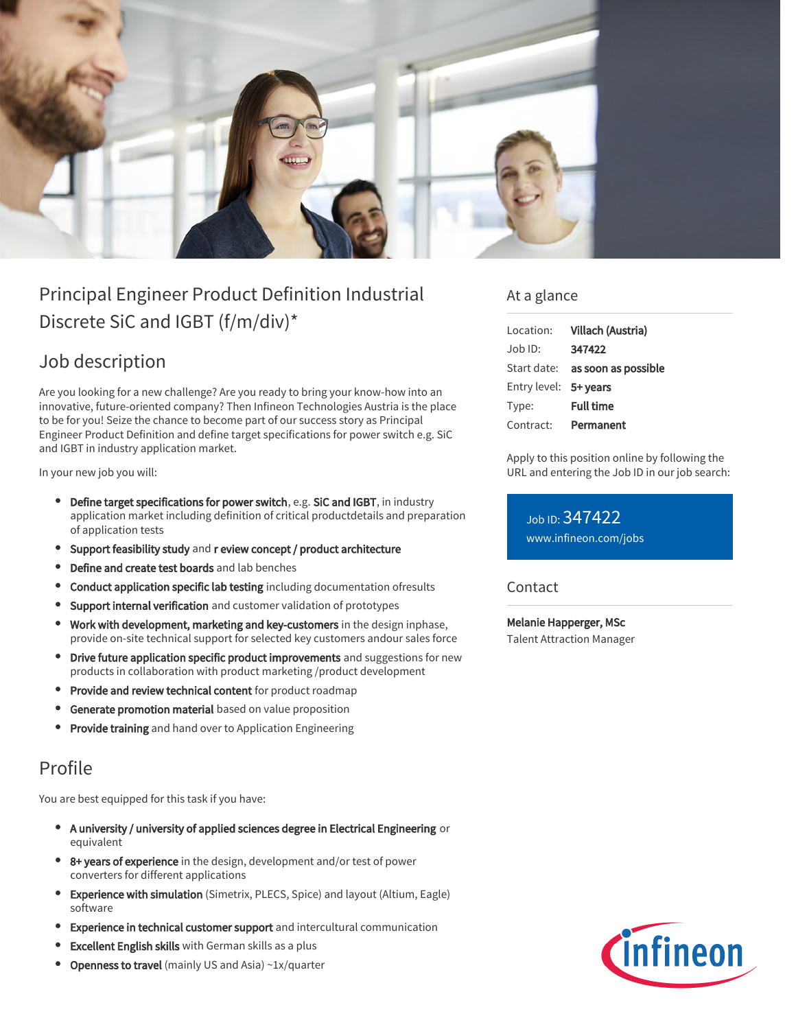

# Principal Engineer Product Definition Industrial Discrete SiC and IGBT (f/m/div)\*

## Job description

Are you looking for a new challenge? Are you ready to bring your know-how into an innovative, future-oriented company? Then Infineon Technologies Austria is the place to be for you! Seize the chance to become part of our success story as Principal Engineer Product Definition and define target specifications for power switch e.g. SiC and IGBT in industry application market.

In your new job you will:

- Define target specifications for power switch, e.g. SiC and IGBT, in industry application market including definition of critical productdetails and preparation of application tests
- Support feasibility study and r eview concept / product architecture
- Define and create test boards and lab benches
- Conduct application specific lab testing including documentation ofresults
- Support internal verification and customer validation of prototypes
- Work with development, marketing and key-customers in the design inphase, provide on-site technical support for selected key customers andour sales force
- Drive future application specific product improvements and suggestions for new  $\bullet$ products in collaboration with product marketing /product development
- **Provide and review technical content** for product roadmap
- $\bullet$ Generate promotion material based on value proposition
- **Provide training** and hand over to Application Engineering

### Profile

You are best equipped for this task if you have:

- A university / university of applied sciences degree in Electrical Engineering or equivalent
- 8+ years of experience in the design, development and/or test of power converters for different applications
- Experience with simulation (Simetrix, PLECS, Spice) and layout (Altium, Eagle) software
- Experience in technical customer support and intercultural communication
- Excellent English skills with German skills as a plus
- Openness to travel (mainly US and Asia) ~1x/quarter

#### At a glance

| Location:             | Villach (Austria)                      |
|-----------------------|----------------------------------------|
| Job ID:               | 347422                                 |
|                       | Start date: <b>as soon as possible</b> |
| Entry level: 5+ years |                                        |
| Type:                 | <b>Full time</b>                       |
| Contract:             | Permanent                              |

Apply to this position online by following the URL and entering the Job ID in our job search:

Job ID: 347422 [www.infineon.com/jobs](https://www.infineon.com/jobs)

**Contact** 

Melanie Happerger, MSc Talent Attraction Manager